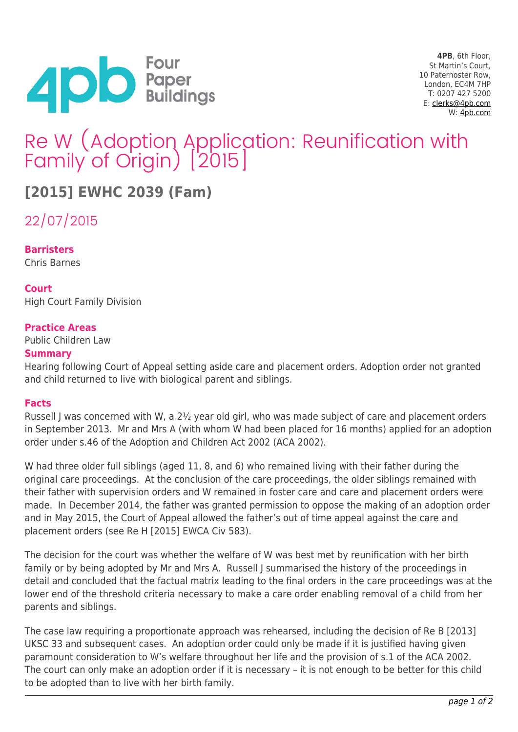

**4PB**, 6th Floor, St Martin's Court, 10 Paternoster Row, London, EC4M 7HP T: 0207 427 5200 E: [clerks@4pb.com](mailto:clerks@4pb.com) W: [4pb.com](http://4pb.com)

# Re W (Adoption Application: Reunification with Family of Origin) [2015]

## **[2015] EWHC 2039 (Fam)**

22/07/2015

**Barristers** Chris Barnes

**Court** High Court Family Division

### **Practice Areas**

Public Children Law

#### **Summary**

Hearing following Court of Appeal setting aside care and placement orders. Adoption order not granted and child returned to live with biological parent and siblings.

#### **Facts**

Russell J was concerned with W, a 2½ year old girl, who was made subject of care and placement orders in September 2013. Mr and Mrs A (with whom W had been placed for 16 months) applied for an adoption order under s.46 of the Adoption and Children Act 2002 (ACA 2002).

W had three older full siblings (aged 11, 8, and 6) who remained living with their father during the original care proceedings. At the conclusion of the care proceedings, the older siblings remained with their father with supervision orders and W remained in foster care and care and placement orders were made. In December 2014, the father was granted permission to oppose the making of an adoption order and in May 2015, the Court of Appeal allowed the father's out of time appeal against the care and placement orders (see Re H [2015] EWCA Civ 583).

The decision for the court was whether the welfare of W was best met by reunification with her birth family or by being adopted by Mr and Mrs A. Russell J summarised the history of the proceedings in detail and concluded that the factual matrix leading to the final orders in the care proceedings was at the lower end of the threshold criteria necessary to make a care order enabling removal of a child from her parents and siblings.

The case law requiring a proportionate approach was rehearsed, including the decision of Re B [2013] UKSC 33 and subsequent cases. An adoption order could only be made if it is justified having given paramount consideration to W's welfare throughout her life and the provision of s.1 of the ACA 2002. The court can only make an adoption order if it is necessary – it is not enough to be better for this child to be adopted than to live with her birth family.